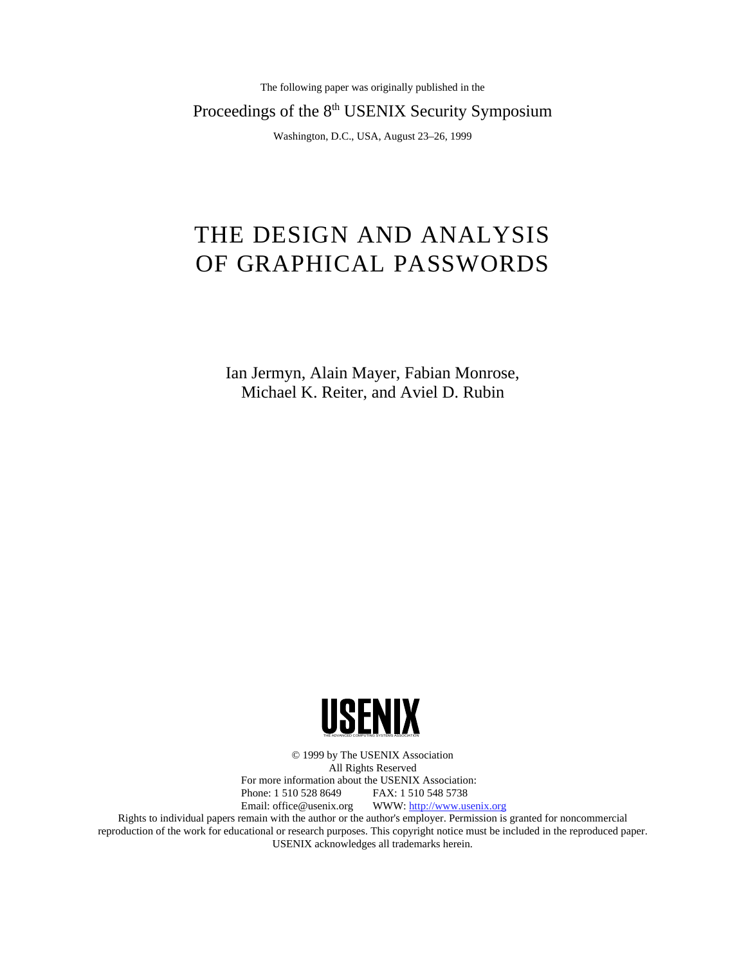The following paper was originally published in the

Proceedings of the 8<sup>th</sup> USENIX Security Symposium

Washington, D.C., USA, August 23–26, 1999

# THE DESIGN AND ANALYSIS OF GRAPHICAL PASSWORDS

Ian Jermyn, Alain Mayer, Fabian Monrose, Michael K. Reiter, and Aviel D. Rubin



© 1999 by The USENIX Association All Rights Reserved For more information about the USENIX Association: Phone: 1 510 528 8649 FAX: 1 510 548 5738 Email: office@usenix.org WWW: http://www.usenix.org Rights to individual papers remain with the author or the author's employer. Permission is granted for noncommercial reproduction of the work for educational or research purposes. This copyright notice must be included in the reproduced paper. USENIX acknowledges all trademarks herein.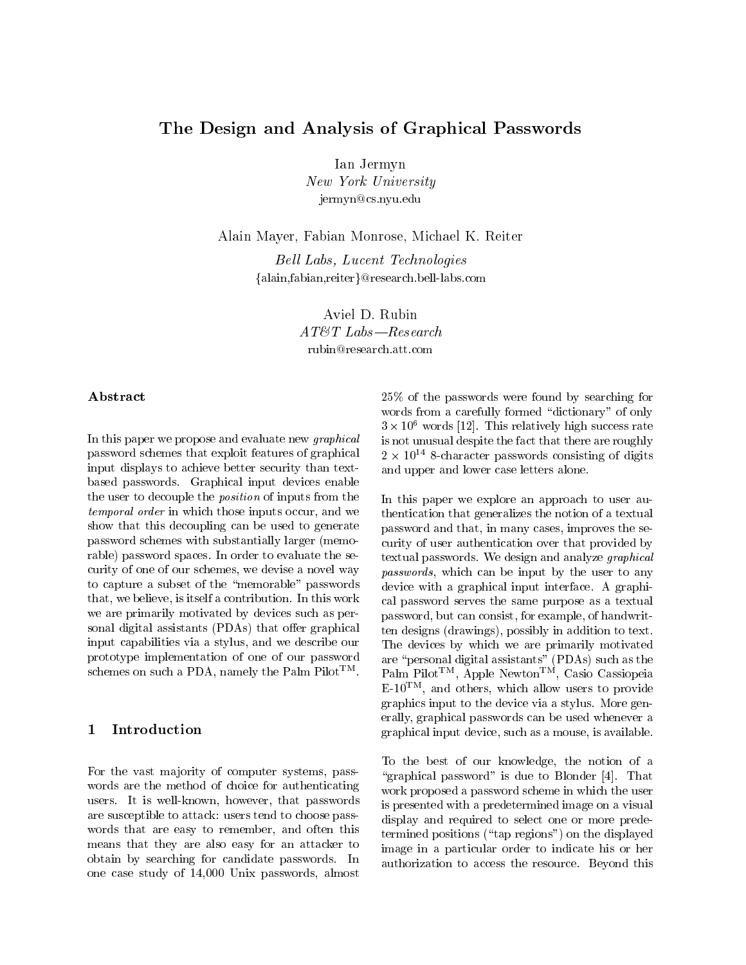# The Design and Analysis of Graphical Passwords

Ian Jermyn New York University jermyn@cs.nyu.edu

Alain Mayer, Fabian Monrose, Michael K. Reiter

Bell Labs, Lucent Technologies {alain,fabian,reiter}@research.bell-labs.com

> Aviel D. Rubin  $AT \&T$  Labs - Research rubin@research.att.com

## Abstract

In this paper we propose and evaluate new graphical password schemes that exploit features of graphical input displays to achieve better security than textbased passwords. Graphical input devices enable the user to decouple the position of inputs from the  $t$ emporal order in which those inputs occur, and we  $t$  the show that this decoupling can be used to generate password schemes with substantially larger (memorable) password spaces. In order to evaluate the security of one of our schemes, we devise a novel way to capture a subset of the \memorable" passwords that, we believe, is itself a contribution. In this work we are primarily motivated by devices such as personal digital assistants (PDAs) that offer graphical input capabilities via a stylus, and we describe our prototype implementation of one of our password schemes on such a PDA, namely the Palm Pilot<sup>TM</sup>.

#### $\mathbf{1}$ **Introduction**

For the vast majority of computer systems, passwords are the method of choice for authenticating users. It is well-known, however, that passwords are susceptible to attack: users tend to choose pass words that are easy to remember, and often this means that they are also easy for an attacker to obtain by searching for candidate passwords. In one case study of 14,000 Unix passwords, almost

25% of the passwords were found by searching for words from a carefully formed "dictionary" of only  $3 \times 10$  words [12]. This relatively high success rate is not unusual despite the fact that there are roughly 2 x 10<sup>--</sup> 8-character passwords consisting of digits and upper and lower case letters alone.

. Palm Pilot T, Apple NewtonTM, Casio Cassiopeia In this paper we explore an approach to user authentication that generalizes the notion of a textual password and that, in many cases, improves the security of user authentication over that provided by textual passwords. We design and analyze graphical passwords, which can be input by the user to any device with a graphical input interface. A graphical password serves the same purpose as a textual password, but can consist, for example, of handwritten designs (drawings), possibly in addition to text. The devices by which we are primarily motivated are \personal digital assistants" (PDAs) such as the E-10TM , and others, which allow users to provide graphics input to the device via a stylus. More generally, graphical passwords can be used whenever a graphical input device, such as a mouse, is available.

To the best of our knowledge, the notion of a "graphical password" is due to Blonder  $[4]$ . That work proposed a password scheme in which the user is presented with a predetermined image on a visual display and required to select one or more predetermined positions ("tap regions") on the displayed image in a particular order to indicate his or her authorization to access the resource. Beyond this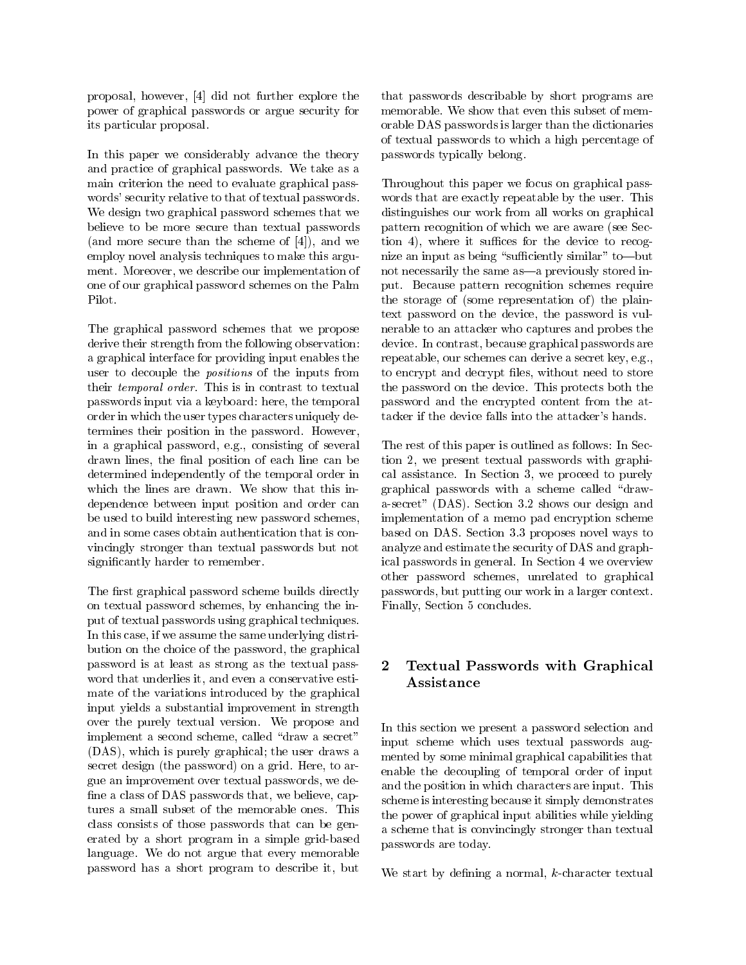proposal, however, [4] did not further explore the power of graphical passwords or argue security for its particular proposal.

In this paper we considerably advance the theory and practice of graphical passwords. We take as a main criterion the need to evaluate graphical pass words' security relative to that of textual passwords. We design two graphical password schemes that we believe to be more secure than textual passwords (and more secure than the scheme of [4]), and we employ novel analysis techniques to make this argument. Moreover, we describe our implementation of one of our graphical password schemes on the Palm Pilot.

The graphical password schemes that we propose derive their strength from the following observation: a graphical interface for providing input enables the user to decouple the positions of the inputs from their temporal order. This is in contrast to textual passwords input via a keyboard: here, the temporal order in which the user types characters uniquely determines their position in the password. However, in a graphical password, e.g., consisting of several drawn lines, the final position of each line can be determined independently of the temporal order in which the lines are drawn. We show that this independence between input position and order can be used to build interesting new password schemes, and in some cases obtain authentication that is convincingly stronger than textual passwords but not signicantly harder to remember.

The first graphical password scheme builds directly on textual password schemes, by enhancing the input of textual passwords using graphical techniques. In this case, if we assume the same underlying distribution on the choice of the password, the graphical password is at least as strong as the textual pass word that underlies it, and even a conservative estimate of the variations introduced by the graphical input yields a substantial improvement in strength over the purely textual version. We propose and implement a second scheme, called "draw a secret" (DAS), which is purely graphical; the user draws a secret design (the password) on a grid. Here, to argue an improvement over textual passwords, we de fine a class of DAS passwords that, we believe, captures a small subset of the memorable ones. This class consists of those passwords that can be generated by a short program in a simple grid-based language. We do not argue that every memorable password has a short program to describe it, but

that passwords describable by short programs are memorable. We show that even this subset of memorable DAS passwords is larger than the dictionaries of textual passwords to which a high percentage of passwords typically belong.

Throughout this paper we focus on graphical pass words that are exactly repeatable by the user. This distinguishes our work from all works on graphical pattern recognition of which we are aware (see Sec- $\{$  tion 4), where it suffices for the device to recognize an input as being "sufficiently similar" to—but not necessarily the same as-a previously stored input. Because pattern recognition schemes require the storage of (some representation of) the plaintext password on the device, the password is vulnerable to an attacker who captures and probes the device. In contrast, because graphical passwords are repeatable, our schemes can derive a secret key, e.g., to encrypt and decrypt files, without need to store the password on the device. This protects both the password and the encrypted content from the attacker if the device falls into the attacker's hands.

The rest of this paper is outlined as follows: In Section 2, we present textual passwords with graphical assistance. In Section 3, we proceed to purely graphical passwords with a scheme called "drawa-secret" (DAS). Section 3.2 shows our design and implementation of a memo pad encryption scheme based on DAS. Section 3.3 proposes novel ways to analyze and estimate the security of DAS and graphical passwords in general. In Section 4 we overview other password schemes, unrelated to graphical passwords, but putting our work in a larger context. Finally, Section 5 concludes.

# Textual Passwords with Graphical Assistance

In this section we present a password selection and input scheme which uses textual passwords augmented by some minimal graphical capabilities that enable the decoupling of temporal order of input and the position in which characters are input. This scheme is interesting because it simply demonstrates the power of graphical input abilities while yielding a scheme that is convincingly stronger than textual passwords are today.

We start by defining a normal,  $k$ -character textual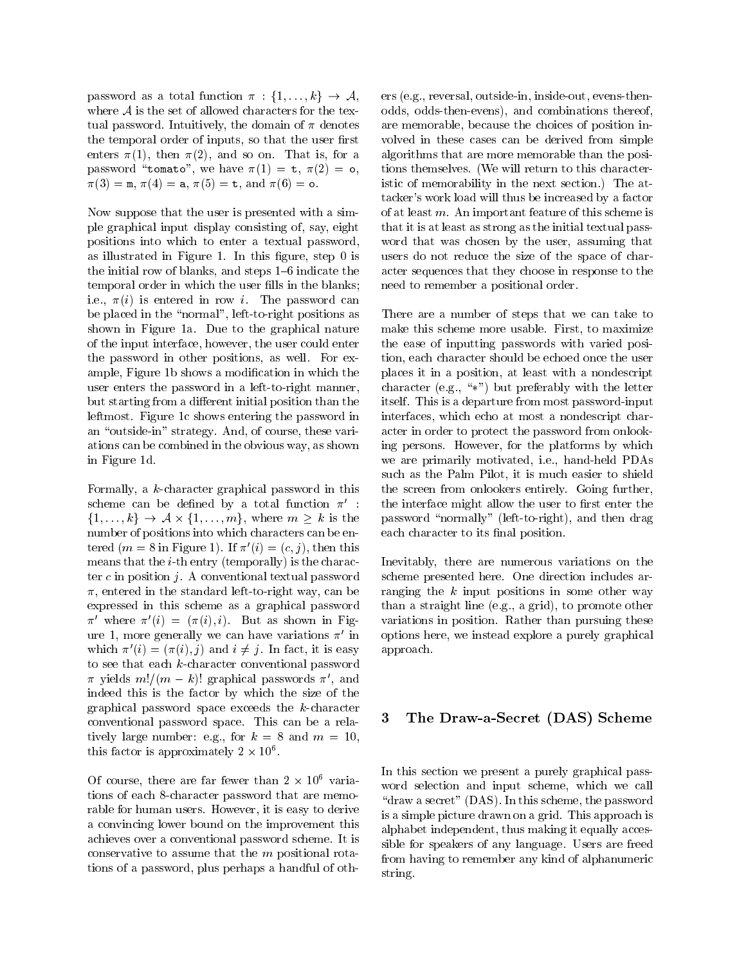password as a total function  $\pi : \{1, \ldots, k\} \rightarrow \mathcal{A}$ , where  $A$  is the set of allowed characters for the textual password. Intuitively, the domain of  $\pi$  denotes the temporal order of inputs, so that the user first enters  $\pi(1)$ , then  $\pi(2)$ , and so on. That is, for a password "tomato", we have  $\pi(1) = t$ ,  $\pi(2) = \infty$ ,  $\pi(3) = \text{m}, \pi(4) = \text{a}, \pi(5) = \text{t}, \text{ and } \pi(6) = \text{o}.$ 

Now suppose that the user is presented with a simple graphical input display consisting of, say, eight positions into which to enter a textual password, as illustrated in Figure 1. In this figure, step  $0$  is the initial row of blanks, and steps  $1{-}6$  indicate the temporal order in which the user fills in the blanks; i.e.,  $\pi(i)$  is entered in row i. The password can be placed in the "normal", left-to-right positions as shown in Figure 1a. Due to the graphical nature of the input interface, however, the user could enter the password in other positions, as well. For example, Figure 1b shows a modication in which the user enters the password in a left-to-right manner, but starting from a different initial position than the leftmost. Figure 1c shows entering the password in an "outside-in" strategy. And, of course, these variations can be combined in the obvious way, as shown in Figure 1d.

Formally, a k-character graphical password in this scheme can be defined by a total function  $\pi'$ : f1;:::;kg ! A-f1;:::;mg, where <sup>m</sup> <sup>k</sup> is the number of positions into which characters can be entered  $(m = 8$  in Figure 1). If  $\pi'(i) = (c, j)$ , then this means that the  $i$ -th entry (temporally) is the character  $c$  in position  $j$ . A conventional textual password  $\pi$ , entered in the standard left-to-right way, can be expressed in this scheme as a graphical password  $\pi'$  where  $\pi'(i) = (\pi(i), i)$ . But as shown in Figure 1, more generally we can have variations  $\pi'$  in which  $\pi'(i)=(\pi(i), j)$  and  $i \neq j$ . In fact, it is easy to see that each  $k$ -character conventional password  $\pi$  yields  $m!/(m - k)!$  graphical passwords  $\pi'$ , and indeed this is the factor by which the size of the graphical password space exceeds the k-character conventional password space. This can be a relatively large number: e.g., for  $k = 8$  and  $m = 10$ ,  $\mu$  is factor is approximately  $2 \times 10^{-1}$ .

Of course, there are far fewer than  $2 \times 10^{-4}$  variations of each 8-character password that are memorable for human users. However, it is easy to derive a convincing lower bound on the improvement this achieves over a conventional password scheme. It is conservative to assume that the <sup>m</sup> positional rotations of a password, plus perhaps a handful of others (e.g., reversal, outside-in, inside-out, evens-thenodds, odds-then-evens), and combinations thereof, are memorable, because the choices of position in volved in these cases can be derived from simple algorithms that are more memorable than the positions themselves. (We will return to this characteristic of memorability in the next section.) The attacker's work load will thus be increased by a factor of at least  $m$ . An important feature of this scheme is that it is at least as strong as the initial textual pass word that was chosen by the user, assuming that users do not reduce the size of the space of character sequences that they choose in response to the need to remember a positional order.

There are a number of steps that we can take to make this scheme more usable. First, to maximize the ease of inputting passwords with varied position, each character should be echoed once the user places it in a position, at least with a nondescript character (e.g., " $\ast$ ") but preferably with the letter itself. This is a departure from most password-input interfaces, which echo at most a nondescript character in order to protect the password from onlooking persons. However, for the platforms by which we are primarily motivated, i.e., hand-held PDAs such as the Palm Pilot, it is much easier to shield the screen from onlookers entirely. Going further, the interface might allow the user to first enter the password \normally" (left-to-right), and then drag each character to its final position.

Inevitably, there are numerous variations on the scheme presented here. One direction includes arranging the  $k$  input positions in some other way than a straight line (e.g., a grid), to promote other variations in position. Rather than pursuing these options here, we instead explore a purely graphical approach.

# 3 The Draw-a-Secret (DAS) Scheme

In this section we present a purely graphical pass word selection and input scheme, which we call " $d$ raw a secret" (DAS). In this scheme, the password is a simple picture drawn on a grid. This approach is alphabet independent, thus making it equally accessible for speakers of any language. Users are freed from having to remember any kind of alphanumeric string.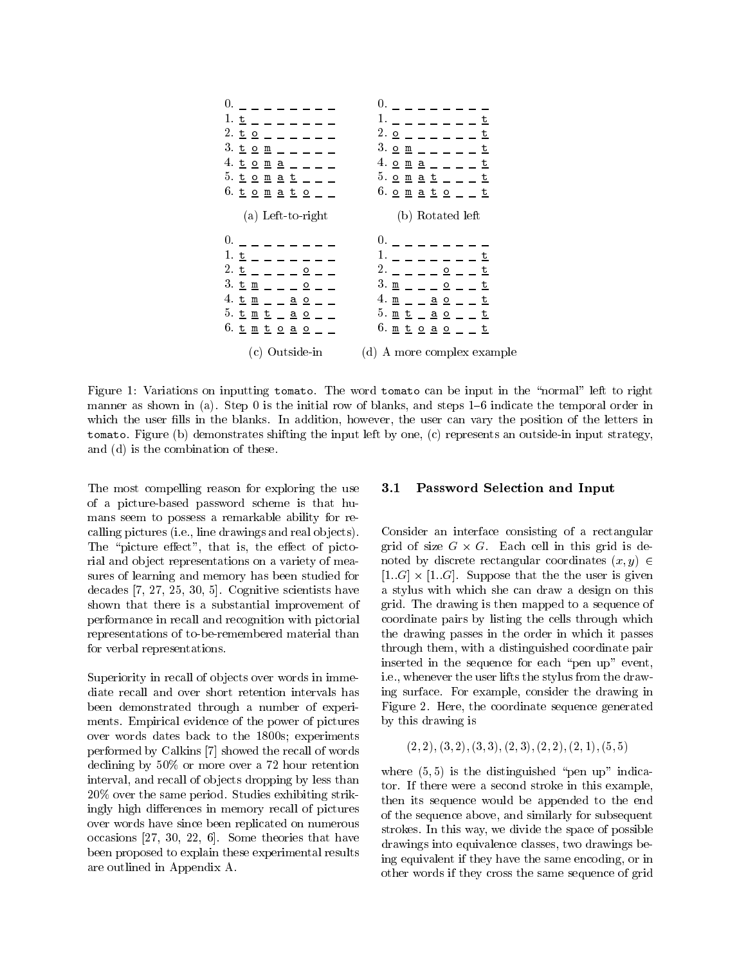

Figure 1: Variations on inputting tomato. The word tomato can be input in the "normal" left to right manner as shown in (a). Step 0 is the initial row of blanks, and steps  $1{-}6$  indicate the temporal order in which the user fills in the blanks. In addition, however, the user can vary the position of the letters in tomato. Figure (b) demonstrates shifting the input left by one, (c) represents an outside-in input strategy, and (d) is the combination of these.

The most compelling reason for exploring the use 3.1 of a picture-based password scheme is that humans seem to possess a remarkable ability for recalling pictures (i.e., line drawings and real ob jects). The "picture effect", that is, the effect of pictorial and ob ject representations on a variety of measures of learning and memory has been studied for decades [7, 27, 25, 30, 5]. Cognitive scientists have shown that there is a substantial improvement of performance in recall and recognition with pictorial representations of to-be-remembered material than for verbal representations.

Superiority in recall of objects over words in immediate recall and over short retention intervals has diate recall and over short retention intervals has been demonstrated through a number of experiments. Empirical evidence of the power of pictures over words dates back to the 1800s; experiments performed by Calkins [7] showed the recall of words declining by 50% or more over a 72 hour retention interval, and recall of objects dropping by less than 20% over the same period. Studies exhibiting strikingly high differences in memory recall of pictures over words have since been replicated on numerous occasions [27, 30, 22, 6]. Some theories that have been proposed to explain these experimental results are outlined in Appendix A.

## Password Selection and Input

Consider an interface consisting of a rectangular grid is size G - G - Each cell in this grid is a set noted by discrete rectangular coordinates  $(x, y) \in$  $\mathbf{I} = \mathbf{I} \cdot \mathbf{I} = \mathbf{I} \cdot \mathbf{I} = \mathbf{I} \cdot \mathbf{I} = \mathbf{I} \cdot \mathbf{I} = \mathbf{I} \cdot \mathbf{I} = \mathbf{I} \cdot \mathbf{I} = \mathbf{I} \cdot \mathbf{I} = \mathbf{I} \cdot \mathbf{I} = \mathbf{I} \cdot \mathbf{I} = \mathbf{I} \cdot \mathbf{I} = \mathbf{I} \cdot \mathbf{I} = \mathbf{I} \cdot \mathbf{I} = \mathbf{I} \cdot \mathbf{I} = \mathbf{I} \cdot \mathbf{I} = \mathbf$ a stylus with which she can draw a design on this grid. The drawing is then mapped to a sequence of coordinate pairs by listing the cells through which the drawing passes in the order in which it passes through them, with a distinguished coordinate pair inserted in the sequence for each "pen up" event, i.e., whenever the user lifts the stylus from the drawing surface. For example, consider the drawing in Figure 2. Here, the coordinate sequence generated by this drawing is

$$
(2,2),(3,2),(3,3),(2,3),(2,2),(2,1),(5,5)
$$

where  $(5, 5)$  is the distinguished "pen up" indicator. If there were a second stroke in this example, then its sequence would be appended to the end of the sequence above, and similarly for subsequent strokes. In this way, we divide the space of possible drawings into equivalence classes, two drawings being equivalent if they have the same encoding, or in other words if they cross the same sequence of grid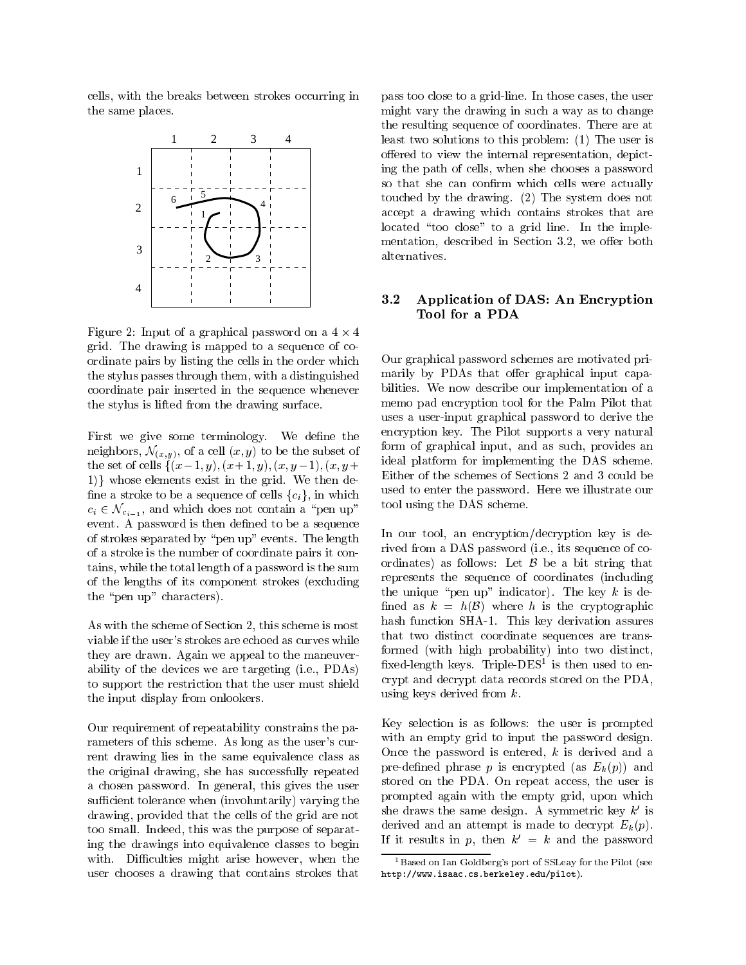cells, with the breaks between strokes occurring in the same places.



Figure 2: Input of a graphical password on a  $4 \times 4$ grid. The drawing is mapped to a sequence of coordinate pairs by listing the cells in the order which the stylus passes through them, with a distinguished coordinate pair inserted in the sequence whenever the stylus is lifted from the drawing surface.

First we give some terminology. We define the neighbors,  $\mathcal{N}_{(x,y)}$ , of a cell  $(x, y)$  to be the subset of the set of cells  $\{(x-1, y), (x+1, y), (x, y-1), (x, y+$ 1) whose elements exist in the grid. We then define a stroke to be a sequence of cells  ${c_i}$ , in which  $c_i \in \mathcal{N}_{c_{i-1}}$ , and which does not contain a "pen up" event. A password is then defined to be a sequence of strokes separated by "pen up" events. The length of a stroke is the number of coordinate pairs it contains, while the total length of a password is the sum of the lengths of its component strokes (excluding the "pen up" characters).

As with the scheme of Section 2, this scheme is most viable if the user's strokes are echoed as curves while they are drawn. Again we appeal to the maneuverability of the devices we are targeting (i.e., PDAs) to support the restriction that the user must shield the input display from onlookers.

Our requirement of repeatability constrains the parameters of this scheme. As long as the user's current drawing lies in the same equivalence class as the original drawing, she has successfully repeated a chosen password. In general, this gives the user sufficient tolerance when (involuntarily) varying the drawing, provided that the cells of the grid are not too small. Indeed, this was the purpose of separating the drawings into equivalence classes to begin with. Difficulties might arise however, when the user chooses a drawing that contains strokes that

pass too close to a grid-line. In those cases, the user might vary the drawing in such a way as to change the resulting sequence of coordinates. There are at least two solutions to this problem: (1) The user is offered to view the internal representation, depicting the path of cells, when she chooses a password so that she can confirm which cells were actually touched by the drawing. (2) The system does not accept a drawing which contains strokes that are located "too close" to a grid line. In the implementation, described in Section 3.2, we offer both alternatives.

# 3.2 Application of DAS: An Encryption Tool for a PDA

Our graphical password schemes are motivated primarily by PDAs that offer graphical input capabilities. We now describe our implementation of a memo pad encryption tool for the Palm Pilot that uses a user-input graphical password to derive the encryption key. The Pilot supports a very natural form of graphical input, and as such, provides an ideal platform for implementing the DAS scheme. Either of the schemes of Sections 2 and 3 could be used to enter the password. Here we illustrate our tool using the DAS scheme.

In our tool, an encryption/decryption key is derived from a DAS password (i.e., its sequence of coordinates) as follows: Let  $\beta$  be a bit string that represents the sequence of coordinates (including the unique "pen up" indicator). The key k is defined as  $k = h(\mathcal{B})$  where h is the cryptographic hash function SHA-1. This key derivation assures that two distinct coordinate sequences are transformed (with high probability) into two distinct, xed-length keys. Triple-DES1 is then used to encrypt and decrypt data records stored on the PDA, using keys derived from k.

Key selection is as follows: the user is prompted with an empty grid to input the password design. Once the password is entered,  $k$  is derived and a pre-defined phrase p is encrypted (as  $E_k(p)$ ) and stored on the PDA. On repeat access, the user is prompted again with the empty grid, upon which she draws the same design. A symmetric key  $k'$  is derived and an attempt is made to decrypt  $E_k(p)$ . If it results in p, then  $k' = k$  and the password

<sup>&</sup>lt;sup>1</sup>Based on Ian Goldberg's port of SSLeav for the Pilot (see http://www.isaac.cs.berkeley.edu/pilot).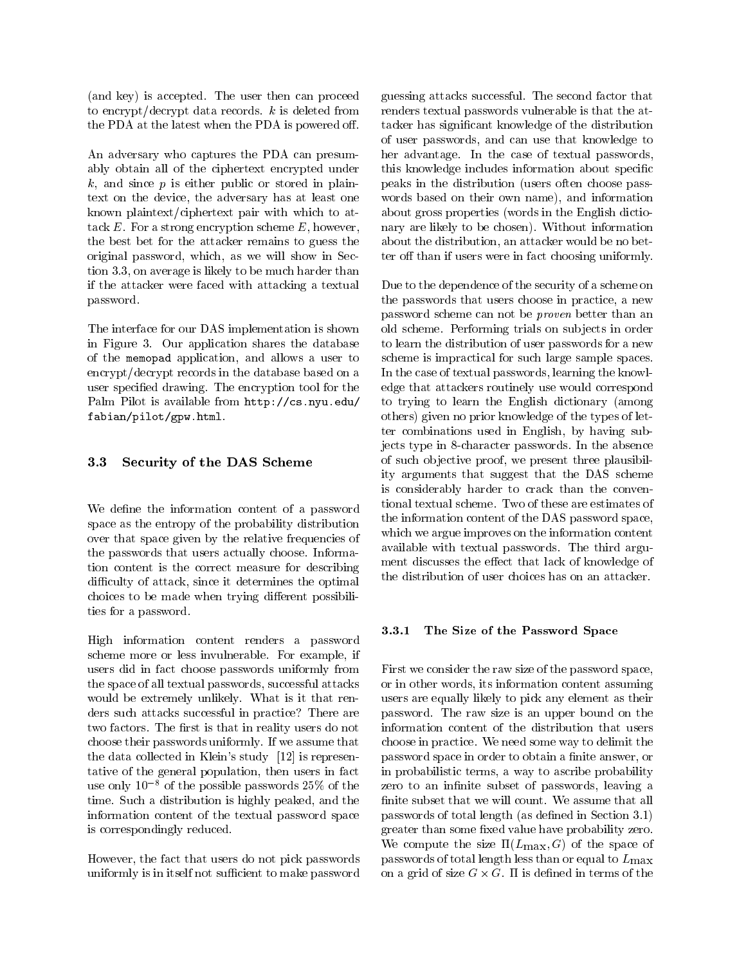(and key) is accepted. The user then can proceed to encrypt/decrypt data records.  $k$  is deleted from the PDA at the latest when the PDA is powered off.

An adversary who captures the PDA can presumably obtain all of the ciphertext encrypted under  $k$ , and since  $p$  is either public or stored in plaintext on the device, the adversary has at least one known plaintext/ciphertext pair with which to attack  $E$ . For a strong encryption scheme  $E$ , however, the best bet for the attacker remains to guess the original password, which, as we will show in Section 3.3, on average is likely to be much harder than if the attacker were faced with attacking a textual password.

The interface for our DAS implementation is shown in Figure 3. Our application shares the database of the memopad application, and allows a user to encrypt/decrypt records in the database based on a user specied drawing. The encryption tool for the Palm Pilot is available from http://cs.nyu.edu/ fabian/pilot/gpw.html.

## 3.3 Security of the DAS Scheme

We define the information content of a password space as the entropy of the probability distribution over that space given by the relative frequencies of the passwords that users actually choose. Information content is the correct measure for describing difficulty of attack, since it determines the optimal choices to be made when trying different possibilities for a password.

High information content renders a password scheme more or less invulnerable. For example, if users did in fact choose passwords uniformly from the space of all textual passwords, successful attacks would be extremely unlikely. What is it that renders such attacks successful in practice? There are two factors. The first is that in reality users do not choose their passwords uniformly. If we assume that the data collected in Klein's study [12] is representative of the general population, then users in fact use only  $10^{-8}$  of the possible passwords 25% of the time. Such a distribution is highly peaked, and the information content of the textual password space is correspondingly reduced.

However, the fact that users do not pick passwords uniformly is in itself not sufficient to make password

guessing attacks successful. The second factor that renders textual passwords vulnerable is that the attacker has signicant knowledge of the distribution of user passwords, and can use that knowledge to her advantage. In the case of textual passwords, this knowledge includes information about specic peaks in the distribution (users often choose pass words based on their own name), and information about gross properties (words in the English dictionary are likely to be chosen). Without information about the distribution, an attacker would be no better off than if users were in fact choosing uniformly.

Due to the dependence of the security of a scheme on the passwords that users choose in practice, a new password scheme can not be proven better than an old scheme. Performing trials on sub jects in order to learn the distribution of user passwords for a new scheme is impractical for such large sample spaces. In the case of textual passwords, learning the knowledge that attackers routinely use would correspond to trying to learn the English dictionary (among others) given no prior knowledge of the types of letter combinations used in English, by having subjects type in 8-character passwords. In the absence of such ob jective proof, we present three plausibility arguments that suggest that the DAS scheme is considerably harder to crack than the conventional textual scheme. Two of these are estimates of the information content of the DAS password space, which we argue improves on the information content available with textual passwords. The third argument discusses the effect that lack of knowledge of the distribution of user choices has on an attacker.

#### 3.3.1The Size of the Password Space

First we consider the raw size of the password space, or in other words, its information content assuming users are equally likely to pick any element as their password. The raw size is an upper bound on the information content of the distribution that users choose in practice. We need some way to delimit the password space in order to obtain a finite answer, or in probabilistic terms, a way to ascribe probability zero to an infinite subset of passwords, leaving a finite subset that we will count. We assume that all passwords of total length (as defined in Section 3.1) greater than some fixed value have probability zero. We compute the size  $\Pi(L_{\text{max}}, G)$  of the space of passwords of total length less than or equal to  $L_{\text{max}}$ on a grid of size <sup>G</sup> - G. is dened in terms of the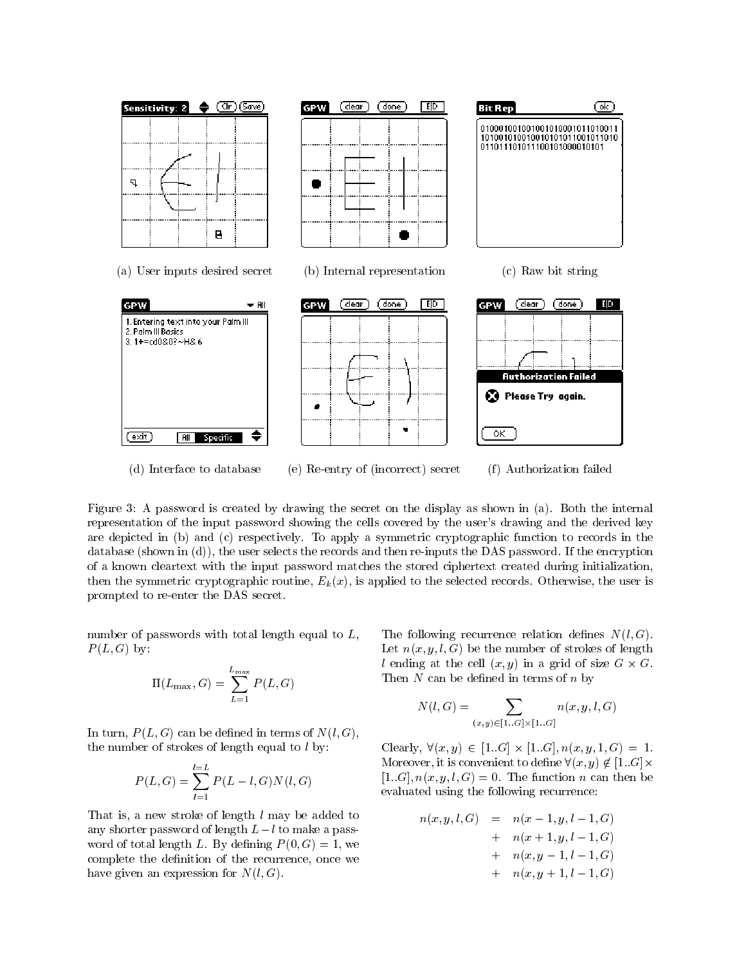

(d) Interface to database (e) Re-entry of (incorrect) secret (f) Authorization failed

Figure 3: A password is created by drawing the secret on the display as shown in (a). Both the internal representation of the input password showing the cells covered by the user's drawing and the derived key are depicted in (b) and (c) respectively. To apply a symmetric cryptographic function to records in the database (shown in (d)), the user selects the records and then re-inputs the DAS password. If the encryption of a known cleartext with the input password matches the stored ciphertext created during initialization, then the symmetric cryptographic routine,  $E_k(x)$ , is applied to the selected records. Otherwise, the user is prompted to re-enter the DAS secret.

number of passwords with total length equal to L,  $P(L, G)$  by:

$$
\Pi(L_{\max}, G) = \sum_{L=1}^{L_{\max}} P(L, G)
$$

In turn,  $P(L, G)$  can be defined in terms of  $N(l, G)$ , the number of strokes of length equal to  $l$  by:

$$
P(L, G) = \sum_{l=1}^{l=L} P(L-l, G)N(l, G)
$$

That is, a new stroke of length  $l$  may be added to any shorter password of length  $L-l$  to make a password of total length L. By defining  $P(0, G) = 1$ , we complete the definition of the recurrence, once we have given an expression for  $N(l, G)$ .

The following recurrence relation defines  $N(l, G)$ . Let  $n(x, y, l, G)$  be the number of strokes of length  $\alpha$  change at the central  $\alpha$ ; y) in a grid of size G  $\alpha$  of G. Then  $N$  can be defined in terms of  $n$  by

$$
N(l, G) = \sum_{(x,y) \in [1..G] \times [1..G]} n(x, y, l, G)
$$

Clearly, 8(x; y) <sup>2</sup> [1::G] - [1::G]; n(x; y; 1; G) = 1. Moreover, it is convenient to define  $\forall (x, y) \notin [1..G] \times$  $[1..G], n(x, y, l, G) = 0$ . The function n can then be evaluated using the following recurrence:

$$
n(x, y, l, G) = n(x - 1, y, l - 1, G)
$$
  
+ 
$$
n(x + 1, y, l - 1, G)
$$
  
+ 
$$
n(x, y - 1, l - 1, G)
$$
  
+ 
$$
n(x, y + 1, l - 1, G)
$$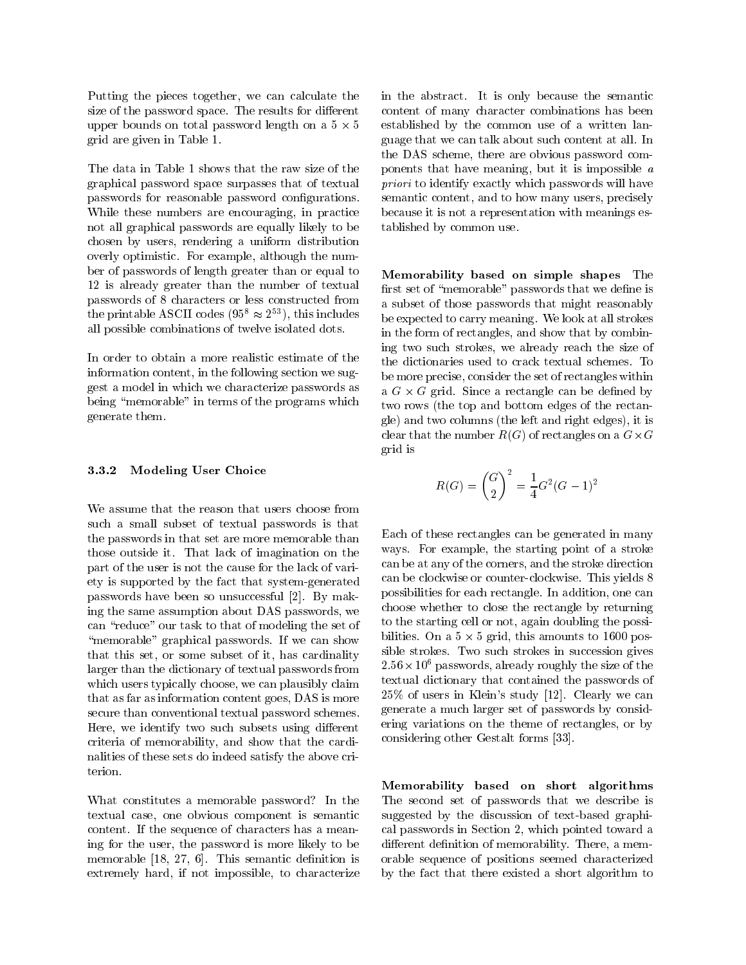Putting the pieces together, we can calculate the size of the password space. The results for different upper bounds on total password length on a  $5 \times 5$ grid are given in Table 1.

The data in Table 1 shows that the raw size of the graphical password space surpasses that of textual passwords for reasonable password congurations. While these numbers are encouraging, in practice not all graphical passwords are equally likely to be chosen by users, rendering a uniform distribution overly optimistic. For example, although the number of passwords of length greater than or equal to 12 is already greater than the number of textual passwords of 8 characters or less constructed from the printable ASCII codes  $(95^8 \approx 2^{53})$ , this includes all possible combinations of twelve isolated dots.

In order to obtain a more realistic estimate of the information content, in the following section we suggest a model in which we characterize passwords as being "memorable" in terms of the programs which generate them.

#### 3.3.2Modeling User Choice

We assume that the reason that users choose from such a small subset of textual passwords is that the passwords in that set are more memorable than those outside it. That lack of imagination on the part of the user is not the cause for the lack of variety is supported by the fact that system-generated passwords have been so unsuccessful [2]. By making the same assumption about DAS passwords, we can "reduce" our task to that of modeling the set of "memorable" graphical passwords. If we can show that this set, or some subset of it, has cardinality larger than the dictionary of textual passwords from which users typically choose, we can plausibly claim that as far as information content goes, DAS is more secure than conventional textual password schemes. Here, we identify two such subsets using different criteria of memorability, and show that the cardinalities of these sets do indeed satisfy the above criterion.

What constitutes a memorable password? In the textual case, one obvious component is semantic content. If the sequence of characters has a meaning for the user, the password is more likely to be memorable  $[18, 27, 6]$ . This semantic definition is extremely hard, if not impossible, to characterize

 5 established by the common use of a written lanin the abstract. It is only because the semantic content of many character combinations has been guage that we can talk about such content at all. In the DAS scheme, there are obvious password components that have meaning, but it is impossible <sup>a</sup> priori to identify exactly which passwords will have semantic content, and to how many users, precisely because it is not a representation with meanings established by common use.

Memorability based on simple shapes The first set of "memorable" passwords that we define is a subset of those passwords that might reasonably be expected to carry meaning. We look at all strokes in the form of rectangles, and show that by combining two such strokes, we already reach the size of the dictionaries used to crack textual schemes. To be more precise, consider the set of rectangles within a G - G grid. Since a rectangle can be democratic two rows (the top and bottom edges of the rectangle) and two columns (the left and right edges), it is clear that the number R(G) of rectangles on a G-<sup>G</sup> grid is

$$
R(G) = {G \choose 2}^2 = \frac{1}{4}G^2(G-1)^2
$$

Each of these rectangles can be generated in many ways. For example, the starting point of a stroke can be at any of the corners, and the stroke direction can be clockwise or counter-clockwise. This yields 8 possibilities for each rectangle. In addition, one can choose whether to close the rectangle by returning to the starting cell or not, again doubling the possibilities. On a 5 - 5 grid, this amounts to 1600 possible strokes. Two such strokes in succession gives 2:56-106 passwords, already roughly the size of the textual dictionary that contained the passwords of 25% of users in Klein's study [12]. Clearly we can generate a much larger set of passwords by considering variations on the theme of rectangles, or by considering other Gestalt forms [33].

Memorability based on short algorithms The second set of passwords that we describe is suggested by the discussion of text-based graphical passwords in Section 2, which pointed toward a different definition of memorability. There, a memorable sequence of positions seemed characterized by the fact that there existed a short algorithm to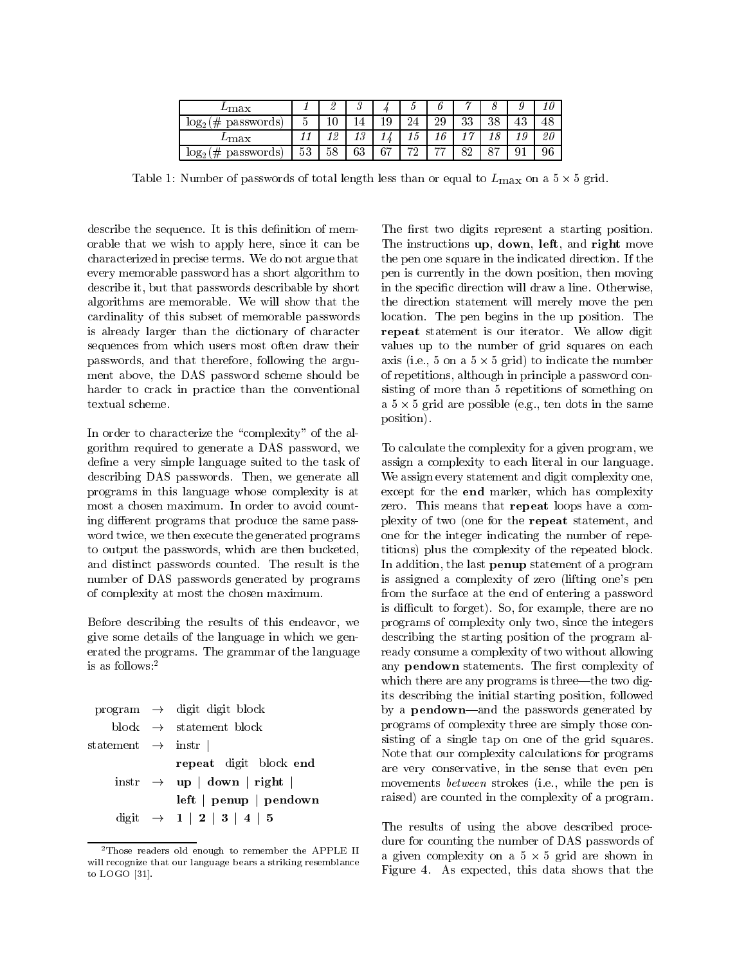| $L$ max                     |           | ∼          | 6<br>ບ |     |                           |    |           |          |    | 1 U |
|-----------------------------|-----------|------------|--------|-----|---------------------------|----|-----------|----------|----|-----|
| passwords)<br>#<br>$log_2($ |           | v          |        | . ب | 24                        | 29 | າາ<br>ಀಀ  | 38       | 43 | 48  |
| $L$ max                     |           | : മ<br>⊥ ん | ιυ     |     | Ιυ                        |    | <b>ry</b> |          |    | 20  |
| #<br>passwords)<br>$log_2($ | ۰ م<br>53 | 58         | 63     | 67  | הי<br>$\overline{\Delta}$ | −− | ດດ<br>O4  | $\Omega$ |    | 96  |

Table 1: The state is the state of the state length less than or equal to  $-100\Lambda$  cm as  $\sim$  5  $\sim$ 

describe the sequence. It is this definition of memorable that we wish to apply here, since it can be characterized in precise terms. We do not argue that every memorable password has a short algorithm to describe it, but that passwords describable by short algorithms are memorable. We will show that the cardinality of this subset of memorable passwords is already larger than the dictionary of character sequences from which users most often draw their passwords, and that therefore, following the argument above, the DAS password scheme should be harder to crack in practice than the conventional textual scheme.

In order to characterize the "complexity" of the algorithm required to generate a DAS password, we define a very simple language suited to the task of describing DAS passwords. Then, we generate all programs in this language whose complexity is at most a chosen maximum. In order to avoid counting different programs that produce the same password twice, we then execute the generated programs to output the passwords, which are then bucketed, and distinct passwords counted. The result is the number of DAS passwords generated by programs of complexity at most the chosen maximum.

Before describing the results of this endeavor, we give some details of the language in which we generated the programs. The grammar of the language is as follows:<sup>2</sup>

|                               | $program \rightarrow digit digit block$                             |  |  |  |
|-------------------------------|---------------------------------------------------------------------|--|--|--|
|                               | block $\rightarrow$ statement block                                 |  |  |  |
| statement $\rightarrow$ instr |                                                                     |  |  |  |
|                               | repeat digit block end                                              |  |  |  |
|                               | $\text{instr}$ $\rightarrow$ <b>up</b>   <b>down</b>   <b>right</b> |  |  |  |
|                               | $left \mid$ penup $\mid$ pendown                                    |  |  |  |
|                               | digit $\rightarrow$ 1   2   3   4   5                               |  |  |  |

<sup>&</sup>lt;sup>2</sup>Those readers old enough to remember the APPLE II will recognize that our language bears a striking resemblance to LOGO [31].

The first two digits represent a starting position. The instructions up, down, left, and right move the pen one square in the indicated direction. If the pen is currently in the down position, then moving in the specific direction will draw a line. Otherwise, the direction statement will merely move the pen location. The pen begins in the up position. The repeat statement is our iterator. We allow digit values up to the number of grid squares on each and the state  $\alpha$  is the number of  $\alpha$  on  $\alpha$  states the number of  $\alpha$ of repetitions, although in principle a password consisting of more than 5 repetitions of something on a 5 - 5 grid are possible (e.g., ten dots in the same position).

To calculate the complexity for a given program, we assign a complexity to each literal in our language. We assign every statement and digit complexity one, except for the end marker, which has complexity zero. This means that repeat loops have a complexity of two (one for the repeat statement, and one for the integer indicating the number of repetitions) plus the complexity of the repeated block. In addition, the last penup statement of a program is assigned a complexity of zero (lifting one's pen from the surface at the end of entering a password is difficult to forget). So, for example, there are no programs of complexity only two, since the integers describing the starting position of the program already consume a complexity of two without allowing any **pendown** statements. The first complexity of which there are any programs is three—the two digits describing the initial starting position, followed by a **pendown**—and the passwords generated by programs of complexity three are simply those consisting of a single tap on one of the grid squares. Note that our complexity calculations for programs are very conservative, in the sense that even pen movements between strokes (i.e., while the pen is raised) are counted in the complexity of a program.

The results of using the above described procedure for counting the number of DAS passwords of and complexity on a  $5$  -shown in a  $5$  -shown in a  $5$  -shown in a  $5$  -shown in a  $5$  -shown in a  $5$  -shown in a shown in a shown in a shown in a shown in a shown in a shown in a shown in a shown in a shown in a shown Figure 4.As expected, this data shows that the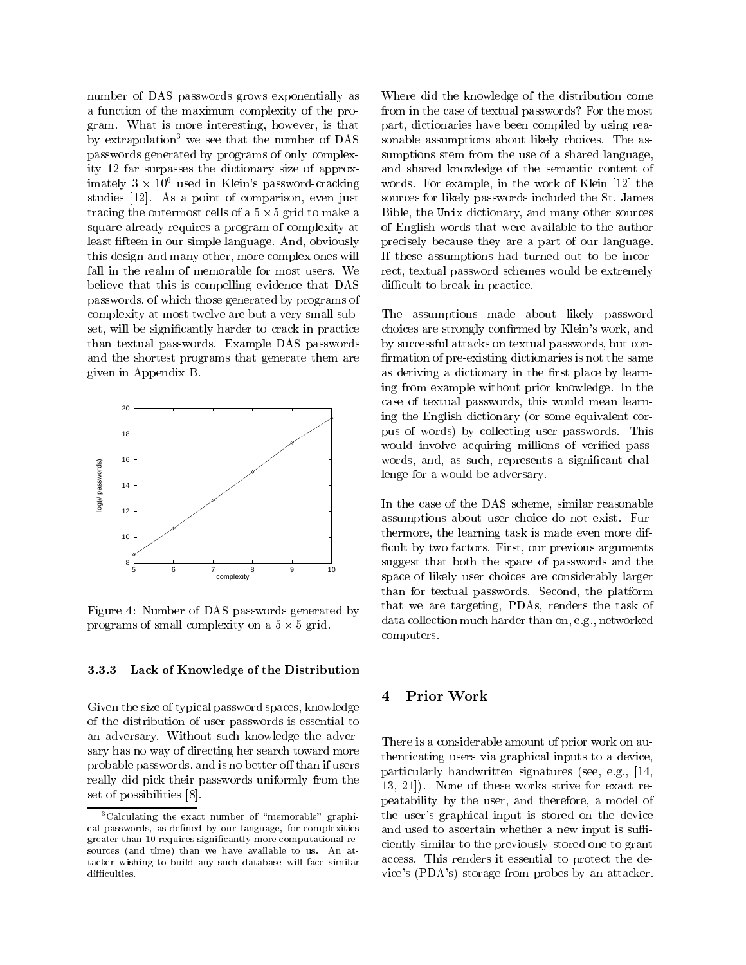number of DAS passwords grows exponentially as a function of the maximum complexity of the program. What is more interesting, however, is that by extrapolation<sup>3</sup> we see that the number of DAS passwords generated by programs of only complexity 12 far surpasses the dictionary size of approximately  $3 \times 10^6$  used in Klein's password-cracking word studies [12]. As a point of comparison, even just tracing the outermost cells of a 5 - 5 grid to make a square already requires a program of complexity at least fteen in our simple language. And, obviously this design and many other, more complex ones will fall in the realm of memorable for most users. We believe that this is compelling evidence that DAS passwords, of which those generated by programs of complexity at most twelve are but a very small subset, will be signicantly harder to crack in practice than textual passwords. Example DAS passwords and the shortest programs that generate them are given in Appendix B.



Figure 4: Number of DAS passwords generated by programs of small complexity on a 5 - 5 grid.

#### 3.3.3Lack of Knowledge of the Distribution

Given the size of typical password spaces, knowledge of the distribution of user passwords is essential to an adversary. Without such knowledge the adversary has no way of directing her search toward more probable passwords, and is no better off than if users really did pick their passwords uniformly from the set of possibilities [8].

Where did the knowledge of the distribution come from in the case of textual passwords? For the most part, dictionaries have been compiled by using reasonable assumptions about likely choices. The assumptions stem from the use of a shared language, and shared knowledge of the semantic content of words. For example, in the work of Klein [12] the sources for likely passwords included the St. James Bible, the Unix dictionary, and many other sources of English words that were available to the author precisely because they are a part of our language. If these assumptions had turned out to be incorrect, textual password schemes would be extremely difficult to break in practice.

The assumptions made about likely password choices are strongly confirmed by Klein's work, and by successful attacks on textual passwords, but con firmation of pre-existing dictionaries is not the same as deriving a dictionary in the first place by learning from example without prior knowledge. In the case of textual passwords, this would mean learning the English dictionary (or some equivalent corpus of words) by collecting user passwords. This would involve acquiring millions of verified passwords, and, as such, represents a significant challenge for a would-be adversary.

In the case of the DAS scheme, similar reasonable assumptions about user choice do not exist. Furthermore, the learning task is made even more dif ficult by two factors. First, our previous arguments suggest that both the space of passwords and the space of likely user choices are considerably larger than for textual passwords. Second, the platform that we are targeting, PDAs, renders the task of data collection much harder than on, e.g., networked computers.

#### Prior Work  $\overline{\mathbf{4}}$

There is a considerable amount of prior work on authenticating users via graphical inputs to a device, particularly handwritten signatures (see, e.g., [14, 13, 21]). None of these works strive for exact repeatability by the user, and therefore, a model of the user's graphical input is stored on the device and used to ascertain whether a new input is sufficiently similar to the previously-stored one to grant access. This renders it essential to protect the device's (PDA's) storage from probes by an attacker.

 $3$ Calculating the exact number of "memorable" graphical passwords, as defined by our language, for complexities greater than 10 requires signicantly more computational re sources (and time) than we have available to us. An attacker wishing to build any such database will face similar difficulties.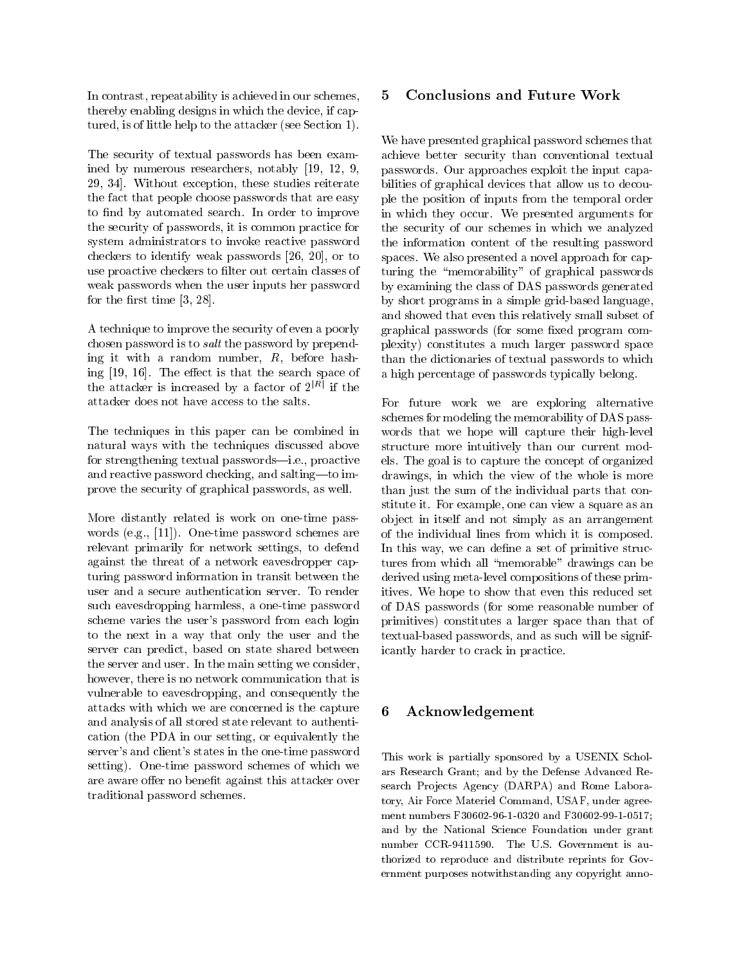In contrast, repeatability is achieved in our schemes, thereby enabling designs in which the device, if captured, is of little help to the attacker (see Section 1).

The security of textual passwords has been examined by numerous researchers, notably [19, 12, 9, 29, 34]. Without exception, these studies reiterate the fact that people choose passwords that are easy to find by automated search. In order to improve the security of passwords, it is common practice for system administrators to invoke reactive password checkers to identify weak passwords [26, 20], or to use proactive checkers to filter out certain classes of weak passwords when the user inputs her password for the first time  $[3, 28]$ .

A technique to improve the security of even a poorly chosen password is to salt the password by prepending it with a random number, R, before hashing  $[19, 16]$ . The effect is that the search space of the attacker is increased by a factor of  $2^{|R|}$  if the attacker does not have access to the salts.

The techniques in this paper can be combined in natural ways with the techniques discussed above for strengthening textual passwords-i.e., proactive and reactive password checking, and salting-to improve the security of graphical passwords, as well.

More distantly related is work on one-time passwords (e.g., [11]). One-time password schemes are relevant primarily for network settings, to defend against the threat of a network eavesdropper capturing password information in transit between the user and a secure authentication server. To render such eavesdropping harmless, a one-time password scheme varies the user's password from each login to the next in a way that only the user and the server can predict, based on state shared between the server and user. In the main setting we consider, however, there is no network communication that is vulnerable to eavesdropping, and consequently the attacks with which we are concerned is the capture  $\mathbf{6}$ and analysis of all stored state relevant to authentication (the PDA in our setting, or equivalently the server's and client's states in the one-time password setting). One-time password schemes of which we are aware offer no benefit against this attacker over traditional password schemes.

#### 5 Conclusions and Future Work 5

We have presented graphical password schemes that achieve better security than conventional textual passwords. Our approaches exploit the input capabilities of graphical devices that allow us to decouple the position of inputs from the temporal order in which they occur. We presented arguments for the security of our schemes in which we analyzed the information content of the resulting password spaces. We also presented a novel approach for capturing the "memorability" of graphical passwords by examining the class of DAS passwords generated by short programs in a simple grid-based language, and showed that even this relatively small subset of graphical passwords (for some fixed program complexity) constitutes a much larger password space than the dictionaries of textual passwords to which a high percentage of passwords typically belong.

For future work we are exploring alternative schemes for modeling the memorability of DAS pass words that we hope will capture their high-level structure more intuitively than our current models. The goal is to capture the concept of organized drawings, in which the view of the whole is more than just the sum of the individual parts that constitute it. For example, one can view a square as an ob ject in itself and not simply as an arrangement of the individual lines from which it is composed. In this way, we can define a set of primitive structures from which all "memorable" drawings can be derived using meta-level compositions of these primitives. We hope to show that even this reduced set of DAS passwords (for some reasonable number of primitives) constitutes a larger space than that of textual-based passwords, and as such will be significantly harder to crack in practice.

# Acknowledgement

This work is partially sponsored by a USENIX Scholars Research Grant; and by the Defense Advanced Re search Projects Agency (DARPA) and Rome Laboratory, Air Force Materiel Command, USAF, under agree ment numbers F30602-96-1-0320 and F30602-99-1-0517; and by the National Science Foundation under grant number CCR-9411590. The U.S. Government is au thorized to reproduce and distribute reprints for Gov ernment purposes notwithstanding any copyright anno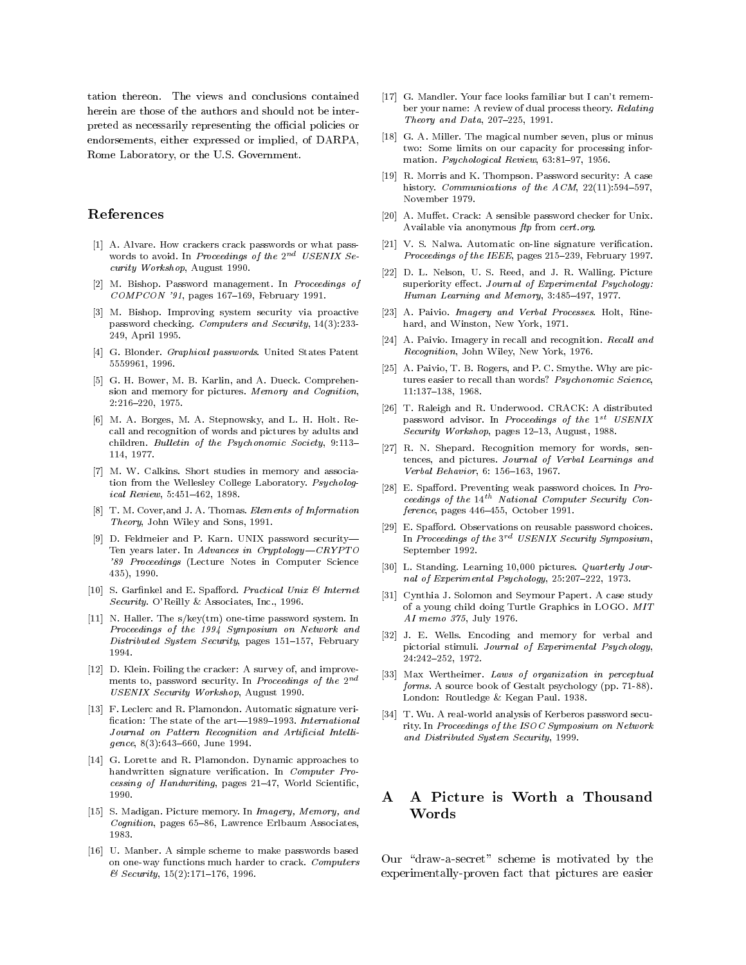tation thereon. The views and conclusions contained herein are those of the authors and should not be interpreted as necessarily representing the official policies or endorsements, either expressed or implied, of DARPA, Rome Laboratory, or the U.S. Government.

# References

- [1] A. Alvare. How crackers crack passwords or what passwords to avoid. In Proceedings of the  $2^{nd}$  USENIX Security Workshop, August 1990.
- [2] M. Bishop. Password management. In Proceedings of  $COMPCON$  '91, pages 167-169, February 1991.
- [3] M. Bishop. Improving system security via proactive password checking. Computers and Security, 14(3):233- 249, April 1995.
- [4] G. Blonder. Graphical passwords. United States Patent 5559961, 1996.
- [5] G. H. Bower, M. B. Karlin, and A. Dueck. Comprehension and memory for pictures. Memory and Cognition, 2:216{220, 1975.
- [6] M. A. Borges, M. A. Stepnowsky, and L. H. Holt. Recall and recognition of words and pictures by adults and children. Bulletin of the Psychonomic Society, 9:113-114, 1977.
- [7] M. W. Calkins. Short studies in memory and association from the Wellesley College Laboratory. Psychological Review, 5:451-462, 1898.
- [8] T. M. Cover,and J. A. Thomas. Elements of Information Theory, John Wiley and Sons, 1991.
- [9] D. Feldmeier and P. Karn. UNIX password security-Ten years later. In Advances in Cryptology- $CRYPTO$ '89 Proceedings (Lecture Notes in Computer Science 435), 1990.
- [10] S. Garfinkel and E. Spafford. Practical Unix  $\mathcal B$  Internet Security. O'Reilly & Associates, Inc., 1996.
- [11] N. Haller. The s/key(tm) one-time password system. In Proceedings of the 1994 Symposium on Network and Distributed System Security, pages 151-157, February
- [12] D. Klein. Foiling the cracker: A survey of, and improvements to, password security. In Proceedings of the 2nd USENIX Security Workshop, August 1990.
- [13] F. Leclerc and R. Plamondon. Automatic signature verification: The state of the  $art-1989-1993$ . International Journal on Pattern Recognition and Artificial Intelli $gence, 8(3): 643{-}660, June 1994.$
- [14] G. Lorette and R. Plamondon. Dynamic approaches to handwritten signature verification. In Computer Processing of Handwriting, pages  $21-47$ , World Scientific, 1990
- [15] S. Madigan. Picture memory. In Imagery, Memory, and  $Cognition$ , pages 65-86, Lawrence Erlbaum Associates, 1983.
- [16] U. Manber. A simple scheme to make passwords based on one-way functions much harder to crack. Computers  $& Security, 15(2):171-176, 1996.$
- [17] G. Mandler. Your face looks familiar but I can't remember your name: A review of dual process theory. Relating Theory and Data,  $207-225$ , 1991.
- [18] G. A. Miller. The magical number seven, plus or minus two: Some limits on our capacity for processing information. Psychological Review, 63:81-97, 1956.
- [19] R. Morris and K. Thompson. Password security: A case history. Communications of the  $ACM$ ,  $22(11):594-597$ , November 1979.
- [20] A. Muffet. Crack: A sensible password checker for Unix. Available via anonymous ftp from cert.org.
- [21] V. S. Nalwa. Automatic on-line signature verification. Proceedings of the IEEE, pages 215-239, February 1997.
- [22] D. L. Nelson, U. S. Reed, and J. R. Walling. Picture superiority effect. Journal of Experimental Psychology: Human Learning and Memory, 3:485-497, 1977.
- [23] A. Paivio. *Imagery and Verbal Processes*. Holt, Rinehard, and Winston, New York, 1971.
- [24] A. Paivio. Imagery in recall and recognition. Recall and Recognition, John Wiley, New York, 1976.
- [25] A. Paivio, T. B. Rogers, and P. C. Smythe. Why are pictures easier to recall than words? Psychonomic Science, 11:137-138, 1968.
- [26] T. Raleigh and R. Underwood. CRACK: A distributed password advisor. In Proceedings of the  $1^{st}$  USENIX Security Workshop, pages  $12-13$ , August, 1988.
- [27] R. N. Shepard. Recognition memory for words, sen tences, and pictures. Journal of Verbal Learnings and Verbal Behavior, 6: 156-163, 1967.
- [28] E. Spafford. Preventing weak password choices. In Proceedings of the  $14^{th}$  National Computer Security Con $ference$ , pages  $446-455$ , October 1991.
- [29] E. Spafford. Observations on reusable password choices. In Proceedings of the  $3^{rd}$  USENIX Security Symposium, September 1992.
- [30] L. Standing. Learning 10,000 pictures. Quarterly Journal of Experimental Psychology,  $25:207-222$ , 1973.
- [31] Cynthia J. Solomon and Seymour Papert. A case study of a young child doing Turtle Graphics in LOGO. MIT AI memo 375, July 1976.
- [32] J. E. Wells. Encoding and memory for verbal and pictorial stimuli. Journal of Experimental Psychology, 24:242{252, 1972.
- [33] Max Wertheimer. Laws of organization in perceptual forms. A source book of Gestalt psychology (pp. 71-88). London: Routledge & Kegan Paul. 1938.
- [34] T. Wu. A real-world analysis of Kerberos password security. In Proceedings of the ISOC Symposium on Network and Distributed System Security, 1999.

### A A Picture is Worth a Thousand A Words

Our "draw-a-secret" scheme is motivated by the experimentally-proven fact that pictures are easier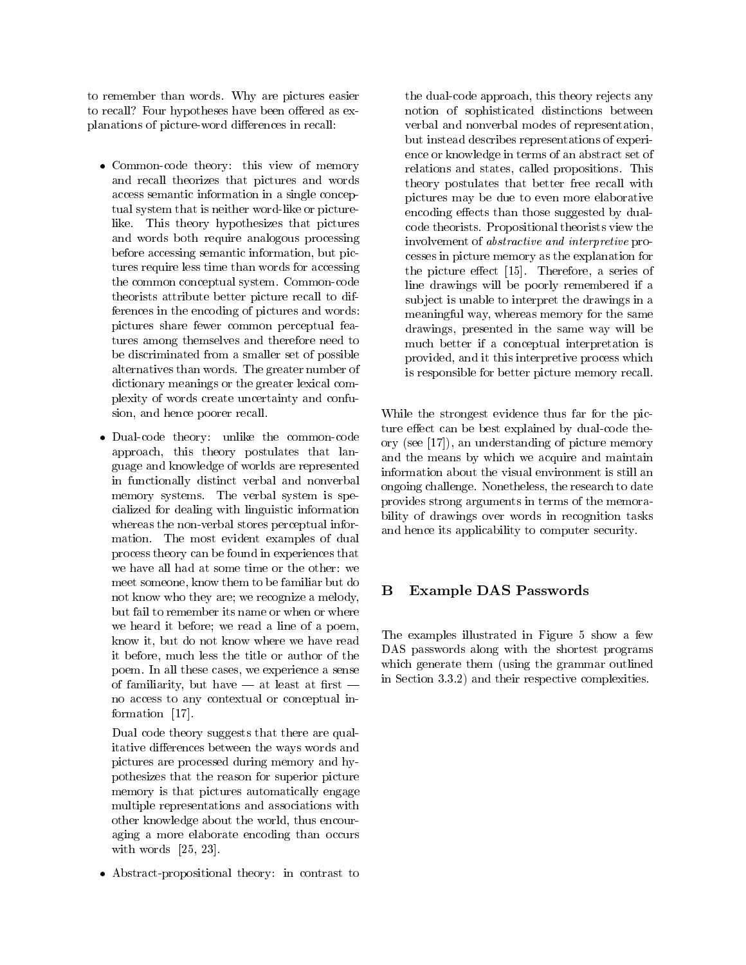to remember than words. Why are pictures easier to recall? Four hypotheses have been offered as explanations of picture-word differences in recall:

- Common-code theory: this view of memory and recall theorizes that pictures and words access semantic information in a single conceptual system that is neither word-like or picturelike. This theory hypothesizes that pictures and words both require analogous processing before accessing semantic information, but pictures require less time than words for accessing the common conceptual system. Common-code theorists attribute better picture recall to differences in the encoding of pictures and words: pictures share fewer common perceptual features among themselves and therefore need to be discriminated from a smaller set of possible alternatives than words. The greater number of dictionary meanings or the greater lexical complexity of words create uncertainty and confusion, and hence poorer recall.
- Dual-code theory: unlike the common-code approach, this theory postulates that language and knowledge of worlds are represented in functionally distinct verbal and nonverbal memory systems. The verbal system is specialized for dealing with linguistic information whereas the non-verbal stores perceptual information. The most evident examples of dual process theory can be found in experiences that we have all had at some time or the other: we meet someone, know them to be familiar but do **B** not know who they are; we recognize a melody, but fail to remember its name or when or where we heard it before; we read a line of a poem, know it, but do not know where we have read it before, much less the title or author of the poem. In all these cases, we experience a sense of familiarity, but have  $-$  at least at first  $$ no access to any contextual or conceptual information [17].

Dual code theory suggests that there are qualitative differences between the ways words and pictures are processed during memory and hypothesizes that the reason for superior picture memory is that pictures automatically engage multiple representations and associations with other knowledge about the world, thus encouraging a more elaborate encoding than occurs with words [25, 23].

Abstract-propositional theory: in contrast to

the dual-code approach, this theory rejects any notion of sophisticated distinctions between verbal and nonverbal modes of representation, but instead describes representations of experience or knowledge in terms of an abstract set of relations and states, called propositions. This theory postulates that better free recall with pictures may be due to even more elaborative encoding effects than those suggested by dualcode theorists. Propositional theorists view the involvement of abstractive and interpretive processes in picture memory as the explanation for the picture effect  $[15]$ . Therefore, a series of line drawings will be poorly remembered if a sub ject is unable to interpret the drawings in a meaningful way, whereas memory for the same drawings, presented in the same way will be much better if a conceptual interpretation is provided, and it this interpretive process which is responsible for better picture memory recall.

While the strongest evidence thus far for the picture effect can be best explained by dual-code theory (see [17]), an understanding of picture memory and the means by which we acquire and maintain information about the visual environment is still an ongoing challenge. Nonetheless, the research to date provides strong arguments in terms of the memorability of drawings over words in recognition tasks and hence its applicability to computer security.

# Example DAS Passwords

The examples illustrated in Figure 5 show a few DAS passwords along with the shortest programs which generate them (using the grammar outlined in Section 3.3.2) and their respective complexities.